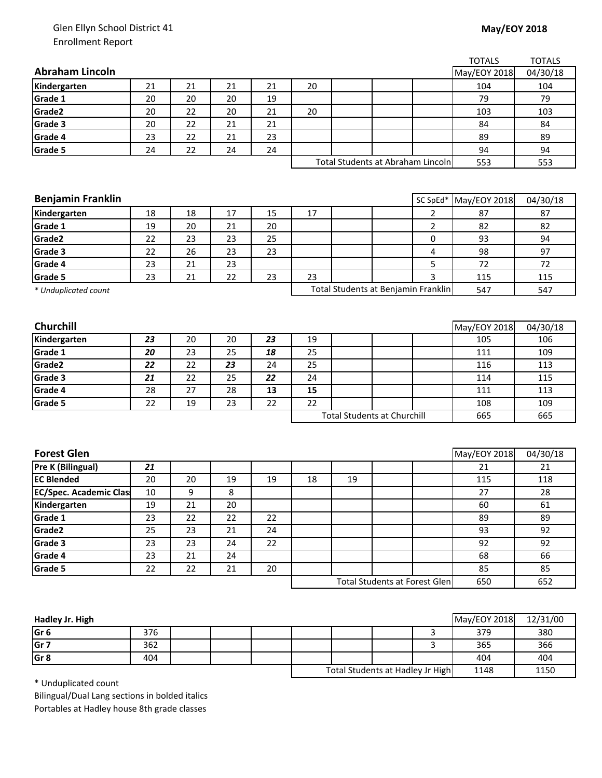## Glen Ellyn School District 41 Enrollment Report

## **May/EOY 2018**

|                               |                                    |    |    |    |                                      |     |                                     |                | <b>TOTALS</b> | <b>TOTALS</b> |
|-------------------------------|------------------------------------|----|----|----|--------------------------------------|-----|-------------------------------------|----------------|---------------|---------------|
| <b>Abraham Lincoln</b>        |                                    |    |    |    |                                      |     |                                     |                | May/EOY 2018  | 04/30/18      |
| Kindergarten                  | 21                                 | 21 | 21 | 21 | 20                                   |     |                                     |                | 104           | 104           |
| Grade 1                       | 20                                 | 20 | 20 | 19 |                                      |     |                                     | 79             |               | 79            |
| Grade2                        | 20                                 | 22 | 20 | 21 | 20                                   |     |                                     | 103            |               | 103           |
| Grade 3                       | 20                                 | 22 | 21 | 21 |                                      |     |                                     |                | 84            | 84            |
| Grade 4                       | 23                                 | 22 | 21 | 23 |                                      |     |                                     |                | 89            | 89            |
| Grade 5                       | 24                                 | 22 | 24 | 24 |                                      |     |                                     |                | 94            | 94            |
|                               |                                    |    |    |    |                                      |     | Total Students at Abraham Lincoln   | 553            | 553           |               |
|                               |                                    |    |    |    |                                      |     |                                     |                |               |               |
|                               |                                    |    |    |    |                                      |     |                                     |                |               |               |
| <b>Benjamin Franklin</b>      |                                    |    |    |    |                                      |     |                                     | SC SpEd*       | May/EOY 2018  | 04/30/18      |
| Kindergarten                  | 18                                 | 18 | 17 | 15 | 17                                   |     |                                     | $\overline{2}$ | 87            | 87            |
| Grade 1                       | 19                                 | 20 | 21 | 20 |                                      |     |                                     | $\overline{2}$ | 82            | 82            |
| Grade2                        | 22                                 | 23 | 23 | 25 |                                      |     |                                     | 0              | 93            | 94            |
| Grade 3                       | 22                                 | 26 | 23 | 23 |                                      |     |                                     | 4              | 98            | 97            |
| Grade 4                       | 23                                 | 21 | 23 |    |                                      |     |                                     | 5              | 72            | 72            |
| Grade 5                       | 23                                 | 21 | 22 | 23 | 23                                   |     |                                     | 3              | 115           | 115           |
| * Unduplicated count          |                                    |    |    |    |                                      |     | Total Students at Benjamin Franklin |                | 547           | 547           |
|                               |                                    |    |    |    |                                      |     |                                     |                |               |               |
| <b>Churchill</b>              |                                    |    |    |    |                                      |     |                                     |                | May/EOY 2018  | 04/30/18      |
| Kindergarten                  | 23                                 | 20 | 20 | 23 | 19                                   |     |                                     |                | 105           | 106           |
| Grade 1                       | 20                                 | 23 | 25 | 18 | 25                                   |     |                                     |                | 111           | 109           |
| Grade2                        | 22                                 | 22 | 23 | 24 | 25                                   |     |                                     |                | 116           | 113           |
| Grade 3                       | 21                                 | 22 | 25 | 22 | 24                                   |     |                                     |                | 114           | 115           |
| Grade 4                       | 28                                 | 27 | 28 | 13 | 15                                   |     |                                     |                | 111           | 113           |
| Grade 5                       | 22                                 | 19 | 23 | 22 | 22                                   |     |                                     |                | 108           | 109           |
|                               | <b>Total Students at Churchill</b> |    |    |    |                                      | 665 | 665                                 |                |               |               |
|                               |                                    |    |    |    |                                      |     |                                     |                |               |               |
|                               |                                    |    |    |    |                                      |     |                                     |                |               |               |
| <b>Forest Glen</b>            |                                    |    |    |    |                                      |     |                                     |                | May/EOY 2018  | 04/30/18      |
| <b>Pre K (Bilingual)</b>      | 21                                 |    |    |    |                                      |     |                                     |                | 21            | 21            |
| <b>EC Blended</b>             | 20                                 | 20 | 19 | 19 | 18                                   | 19  |                                     |                | 115           | 118           |
| <b>EC/Spec. Academic Clas</b> | 10                                 | 9  | 8  |    |                                      |     |                                     |                | 27            | 28            |
| Kindergarten                  | 19                                 | 21 | 20 |    |                                      |     |                                     |                | 60            | 61            |
| Grade 1                       | 23                                 | 22 | 22 | 22 |                                      |     |                                     |                | 89            | 89            |
| Grade2                        | 25                                 | 23 | 21 | 24 |                                      |     |                                     |                | 93            | 92            |
| Grade 3                       | 23                                 | 23 | 24 | 22 |                                      |     |                                     |                | 92            | 92            |
| Grade 4                       | 23                                 | 21 | 24 |    |                                      |     |                                     |                | 68            | 66            |
| Grade 5                       | 22                                 | 22 | 21 | 20 |                                      |     |                                     |                | 85            | 85            |
|                               |                                    |    |    |    | <b>Total Students at Forest Glen</b> |     |                                     |                | 650           | 652           |
|                               |                                    |    |    |    |                                      |     |                                     |                |               |               |
|                               |                                    |    |    |    |                                      |     |                                     |                |               |               |

| Hadley Jr. High |     |  |                                  |  |  |      | May/EOY 2018 | 12/31/00 |
|-----------------|-----|--|----------------------------------|--|--|------|--------------|----------|
| Gr <sub>6</sub> | 376 |  |                                  |  |  |      | 379          | 380      |
| Gr <sub>7</sub> | 362 |  |                                  |  |  |      | 365          | 366      |
| Gr <sub>8</sub> | 404 |  |                                  |  |  |      | 404          | 404      |
|                 |     |  | Total Students at Hadley Jr High |  |  | 1148 | 1150         |          |

\* Unduplicated count

Bilingual/Dual Lang sections in bolded italics Portables at Hadley house 8th grade classes